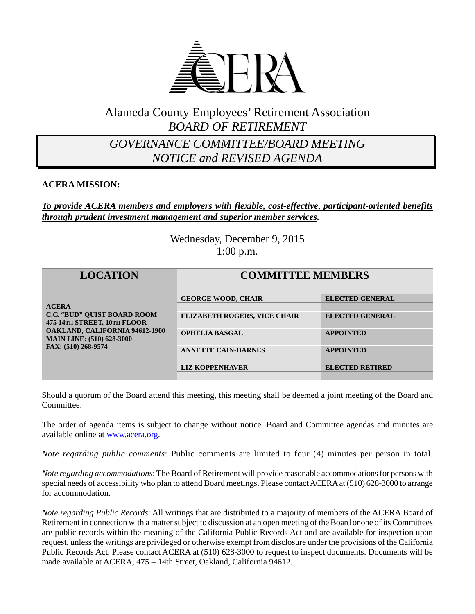

# Alameda County Employees' Retirement Association *BOARD OF RETIREMENT*

# *GOVERNANCE COMMITTEE/BOARD MEETING NOTICE and REVISED AGENDA*

## **ACERA MISSION:**

### *To provide ACERA members and employers with flexible, cost-effective, participant-oriented benefits through prudent investment management and superior member services.*

Wednesday, December 9, 2015 1:00 p.m.

| <b>LOCATION</b>                                                                                                                                                                       | <b>COMMITTEE MEMBERS</b>            |                        |
|---------------------------------------------------------------------------------------------------------------------------------------------------------------------------------------|-------------------------------------|------------------------|
| <b>ACERA</b><br><b>C.G. "BUD" QUIST BOARD ROOM</b><br>475 14TH STREET, 10TH FLOOR<br><b>OAKLAND, CALIFORNIA 94612-1900</b><br><b>MAIN LINE: (510) 628-3000</b><br>FAX: (510) 268-9574 | <b>GEORGE WOOD, CHAIR</b>           | <b>ELECTED GENERAL</b> |
|                                                                                                                                                                                       | <b>ELIZABETH ROGERS, VICE CHAIR</b> | <b>ELECTED GENERAL</b> |
|                                                                                                                                                                                       | <b>OPHELIA BASGAL</b>               | <b>APPOINTED</b>       |
|                                                                                                                                                                                       | <b>ANNETTE CAIN-DARNES</b>          | <b>APPOINTED</b>       |
|                                                                                                                                                                                       | <b>LIZ KOPPENHAVER</b>              | <b>ELECTED RETIRED</b> |

Should a quorum of the Board attend this meeting, this meeting shall be deemed a joint meeting of the Board and Committee.

The order of agenda items is subject to change without notice. Board and Committee agendas and minutes are available online at [www.acera.org.](http://www.acera.org/)

*Note regarding public comments*: Public comments are limited to four (4) minutes per person in total.

*Note regarding accommodations*: The Board of Retirement will provide reasonable accommodations for persons with special needs of accessibility who plan to attend Board meetings. Please contact ACERA at (510) 628-3000 to arrange for accommodation.

*Note regarding Public Records*: All writings that are distributed to a majority of members of the ACERA Board of Retirement in connection with a matter subject to discussion at an open meeting of the Board or one of its Committees are public records within the meaning of the California Public Records Act and are available for inspection upon request, unless the writings are privileged or otherwise exempt from disclosure under the provisions of the California Public Records Act. Please contact ACERA at (510) 628-3000 to request to inspect documents. Documents will be made available at ACERA, 475 – 14th Street, Oakland, California 94612.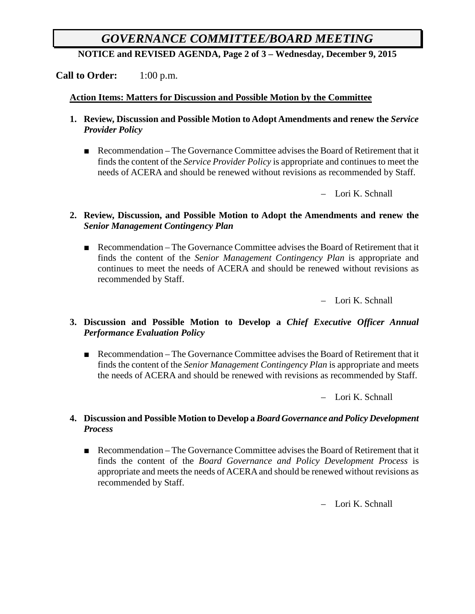# *GOVERNANCE COMMITTEE/BOARD MEETING*

**NOTICE and REVISED AGENDA, Page 2 of 3 – Wednesday, December 9, 2015**

**Call to Order:** 1:00 p.m.

#### **Action Items: Matters for Discussion and Possible Motion by the Committee**

- **1. Review, Discussion and Possible Motion to Adopt Amendments and renew the** *Service Provider Policy*
	- Recommendation The Governance Committee advises the Board of Retirement that it finds the content of the *Service Provider Policy* is appropriate and continues to meet the needs of ACERA and should be renewed without revisions as recommended by Staff.

– Lori K. Schnall

#### **2. Review, Discussion, and Possible Motion to Adopt the Amendments and renew the**  *Senior Management Contingency Plan*

■ Recommendation – The Governance Committee advises the Board of Retirement that it finds the content of the *Senior Management Contingency Plan* is appropriate and continues to meet the needs of ACERA and should be renewed without revisions as recommended by Staff.

– Lori K. Schnall

## **3. Discussion and Possible Motion to Develop a** *Chief Executive Officer Annual Performance Evaluation Policy*

■ Recommendation – The Governance Committee advises the Board of Retirement that it finds the content of the *Senior Management Contingency Plan* is appropriate and meets the needs of ACERA and should be renewed with revisions as recommended by Staff.

– Lori K. Schnall

#### **4. Discussion and Possible Motion to Develop a** *Board Governance and Policy Development Process*

■ Recommendation – The Governance Committee advises the Board of Retirement that it finds the content of the *Board Governance and Policy Development Process* is appropriate and meets the needs of ACERA and should be renewed without revisions as recommended by Staff.

– Lori K. Schnall